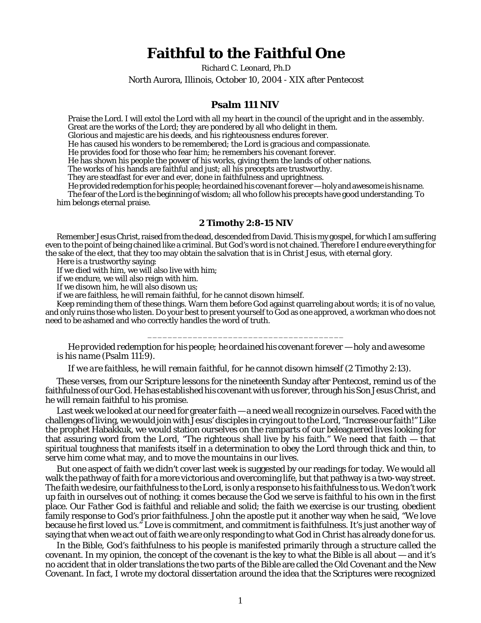## **Faithful to the Faithful One**

Richard C. Leonard, Ph.D

North Aurora, Illinois, October 10, 2004 - XIX after Pentecost

## **Psalm 111 NIV**

Praise the Lord. I will extol the Lord with all my heart in the council of the upright and in the assembly. Great are the works of the Lord; they are pondered by all who delight in them.

Glorious and majestic are his deeds, and his righteousness endures forever.

He has caused his wonders to be remembered; the Lord is gracious and compassionate.

He provides food for those who fear him; he remembers his covenant forever.

He has shown his people the power of his works, giving them the lands of other nations.

The works of his hands are faithful and just; all his precepts are trustworthy.

They are steadfast for ever and ever, done in faithfulness and uprightness.

He provided redemption for his people; he ordained his covenant forever — holy and awesome is his name.

The fear of the Lord is the beginning of wisdom; all who follow his precepts have good understanding. To him belongs eternal praise.

## **2 Timothy 2:8-15 NIV**

Remember Jesus Christ, raised from the dead, descended from David. This is my gospel, for which I am suffering even to the point of being chained like a criminal. But God's word is not chained. Therefore I endure everything for the sake of the elect, that they too may obtain the salvation that is in Christ Jesus, with eternal glory.

Here is a trustworthy saying:

If we died with him, we will also live with him;

if we endure, we will also reign with him.

If we disown him, he will also disown us;

if we are faithless, he will remain faithful, for he cannot disown himself.

Keep reminding them of these things. Warn them before God against quarreling about words; it is of no value, and only ruins those who listen. Do your best to present yourself to God as one approved, a workman who does not need to be ashamed and who correctly handles the word of truth.

*He provided redemption for his people; he ordained his covenant forever — holy and awesome is his name* (Psalm 111:9).

\_\_\_\_\_\_\_\_\_\_\_\_\_\_\_\_\_\_\_\_\_\_\_\_\_\_\_\_\_\_\_\_\_\_\_\_\_\_\_

*If we are faithless, he will remain faithful, for he cannot disown himself* (2 Timothy 2:13).

These verses, from our Scripture lessons for the nineteenth Sunday after Pentecost, remind us of the faithfulness of our God. He has established his covenant with us forever, through his Son Jesus Christ, and he will remain faithful to his promise.

Last week we looked at our need for greater faith — a need we all recognize in ourselves. Faced with the challenges of living, we would join with Jesus' disciples in crying out to the Lord, "Increase our faith!" Like the prophet Habakkuk, we would station ourselves on the ramparts of our beleaguered lives looking for that assuring word from the Lord, "The righteous shall live by his faith." We need that faith — that spiritual toughness that manifests itself in a determination to obey the Lord through thick and thin, to serve him come what may, and to move the mountains in our lives.

But one aspect of faith we didn't cover last week is suggested by our readings for today. We would all walk the pathway of faith for a more victorious and overcoming life, but that pathway is a two-way street. The faith we desire, our faithfulness to the Lord, is only a response to *his faithfulness to us.* We don't work up faith in ourselves out of nothing; it comes because the God we serve is faithful to his own in the first place. *Our Father God* is faithful and reliable and solid; the faith we exercise is our trusting, obedient family response to God's prior faithfulness. John the apostle put it another way when he said, "We love because he first loved us." Love is *commitment*, and commitment is *faithfulness*. It's just another way of saying that when we act out of faith we are only responding to what God in Christ has already done for us.

In the Bible, God's faithfulness to his people is manifested primarily through a structure called the *covenant*. In my opinion, the concept of the covenant is the key to what the Bible is all about — and it's no accident that in older translations the two parts of the Bible are called the Old Covenant and the New Covenant. In fact, I wrote my doctoral dissertation around the idea that the Scriptures were recognized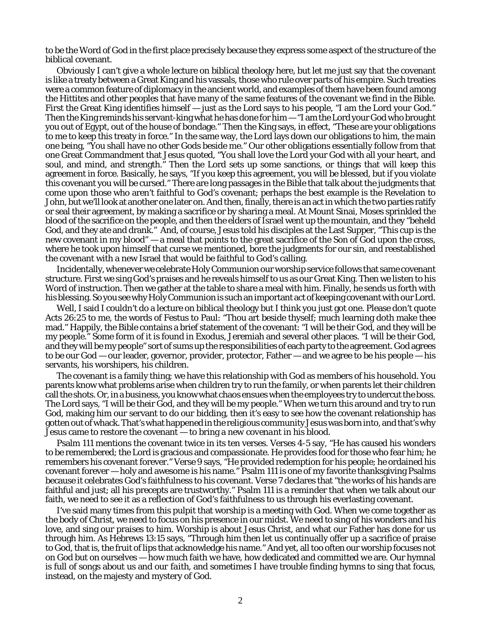to be the Word of God in the first place precisely because they express some aspect of the structure of the biblical covenant.

Obviously I can't give a whole lecture on biblical theology here, but let me just say that the covenant is like a treaty between a Great King and his vassals, those who rule over parts of his empire. Such treaties were a common feature of diplomacy in the ancient world, and examples of them have been found among the Hittites and other peoples that have many of the same features of the covenant we find in the Bible. First the Great King identifies himself — just as the Lord says to his people, "I am the Lord your God." Then the King reminds his servant-king what he has done for him — "I am the Lord your God who brought you out of Egypt, out of the house of bondage." Then the King says, in effect, "These are your obligations to me to keep this treaty in force." In the same way, the Lord lays down our obligations to him, the main one being, "You shall have no other Gods beside me." Our other obligations essentially follow from that one Great Commandment that Jesus quoted, "You shall love the Lord your God with all your heart, and soul, and mind, and strength." Then the Lord sets up some sanctions, or things that will keep this agreement in force. Basically, he says, "If you keep this agreement, you will be blessed, but if you violate this covenant you will be cursed." There are long passages in the Bible that talk about the judgments that come upon those who aren't faithful to God's covenant; perhaps the best example is the Revelation to John, but we'll look at another one later on. And then, finally, there is an act in which the two parties ratify or seal their agreement, by making a sacrifice or by sharing a meal. At Mount Sinai, Moses sprinkled the blood of the sacrifice on the people, and then the elders of Israel went up the mountain, and they "beheld God, and they ate and drank." And, of course, Jesus told his disciples at the Last Supper, "This cup is the new covenant in my blood" — a meal that points to the great sacrifice of the Son of God upon the cross, where he took upon himself that curse we mentioned, bore the judgments for our sin, and reestablished the covenant with a new Israel that would be faithful to God's calling.

Incidentally, whenever we celebrate Holy Communion our worship service follows that same covenant structure. First we sing God's praises and he reveals himself to us as our Great King. Then we listen to his Word of instruction. Then we gather at the table to share a meal with him. Finally, he sends us forth with his blessing. So you see why Holy Communion is such an important act of keeping covenant with our Lord.

Well, I said I couldn't do a lecture on biblical theology but I think you just got one. Please don't quote Acts 26:25 to me, the words of Festus to Paul: "Thou art beside thyself; much learning doth make thee mad." Happily, the Bible contains a brief statement of the covenant: "I will be their God, and they will be my people." Some form of it is found in Exodus, Jeremiah and several other places. "I will be their God, and they will be my people" sort of sums up the responsibilities of each party to the agreement. God agrees to be our God — our leader, governor, provider, protector, Father — and we agree to be his people — his servants, his worshipers, his children.

The covenant is a family thing; we have this relationship with God as members of his household. You parents know what problems arise when children try to run the family, or when parents *let* their children call the shots. Or, in a business, you know what chaos ensues when the employees try to undercut the boss. The Lord says, "I will be their God, and they will be my people." When we turn this around and try to run God, making him *our* servant to do *our* bidding, then it's easy to see how the covenant relationship has gotten out of whack. That's what happened in the religious community Jesus was born into, and that's why Jesus came to restore the covenant — to bring a *new covenant* in his blood.

Psalm 111 mentions the covenant twice in its ten verses. Verses 4-5 say, "He has caused his wonders to be remembered; the Lord is gracious and compassionate. He provides food for those who fear him; he remembers his covenant forever." Verse 9 says, "He provided redemption for his people; he ordained his covenant forever — holy and awesome is his name." Psalm 111 is one of my favorite thanksgiving Psalms because it celebrates God's faithfulness to his covenant. Verse 7 declares that "the works of his hands are faithful and just; all his precepts are trustworthy." Psalm 111 is a reminder that when we talk about *our* faith, we need to see it as a reflection of God's faithfulness to us through his everlasting covenant.

I've said many times from this pulpit that worship is a meeting with God. When we come together as the body of Christ, we need to focus on his presence in our midst. We need to sing of *his* wonders and *his* love, and sing our praises to *him*. Worship is about Jesus Christ, and what our Father has done for us through him. As Hebrews 13:15 says, "Through him then let us continually offer up a sacrifice of praise to God, that is, the fruit of lips that acknowledge his name." And yet, all too often our worship focuses not on God but on ourselves — how much faith *we* have, how dedicated and committed *we* are. Our hymnal is full of songs about *us* and *our faith*, and sometimes I have trouble finding hymns to sing that focus, instead, on the majesty and mystery of God.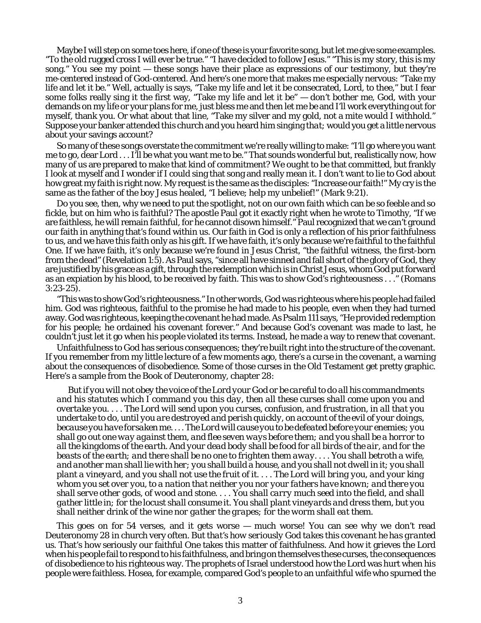Maybe I will step on some toes here, if one of these is your favorite song, but let me give some examples. "To the old rugged cross *I* will ever be true." *"I* have decided to follow Jesus." "This is *my* story, this is *my* song." You see my point — these songs have their place as expressions of our testimony, but they're *me*-centered instead of God-centered. And here's one more that makes me especially nervous: "Take my life and let it be." Well, actually is says, "Take my life and let it be consecrated, Lord, to thee," but I fear some folks really sing it the first way, "Take my life and let it be" — don't bother me, God, with your demands on my life or your plans for me, just bless me and then *let me be* and I'll work everything out for myself, thank you. Or what about that line, "Take my silver and my gold, not a mite would I withhold." Suppose your banker attended this church and you heard him singing *that;* would you get a little nervous about your savings account?

So many of these songs overstate the commitment we're really willing to make: "I'll go where you want me to go, dear Lord . . . I'll be what you want me to be." That sounds wonderful but, realistically now, how many of us are prepared to make that kind of commitment? We *ought* to be that committed, but frankly I look at myself and I wonder if I could sing that song and really mean it. I don't want to lie to God about how great my faith is right now. My request is the same as the disciples: "Increase our faith!" My cry is the same as the father of the boy Jesus healed, "I believe; help my unbelief!" (Mark 9:21).

Do you see, then, why we need to put the spotlight, not on our own faith which can be so feeble and so fickle, but on *him who is faithful?* The apostle Paul got it exactly right when he wrote to Timothy, "If we are faithless, he will remain faithful, for he cannot disown himself." Paul recognized that we can't ground our faith in anything that's found within us. Our faith in God is only a reflection of his prior faithfulness to us, and we have this faith only as his gift. If we have faith, it's only because we're faithful to the faithful One. If we have faith, it's only because we're found in Jesus Christ, "the faithful witness, the first-born from the dead" (Revelation 1:5). As Paul says, "since all have sinned and fall short of the glory of God, they are justified by his grace as a gift, through the redemption which is in Christ Jesus, whom God put forward as an expiation by his blood, to be received by faith. This was to show God's righteousness . . ." (Romans 3:23-25).

"This was to show God's righteousness." In other words, God was righteous where his people had failed him. God was righteous, faithful to the promise he had made to his people, even when they had turned away. God was righteous, keeping the covenant he had made. As Psalm 111 says, "He provided redemption for his people; he ordained his covenant forever." And because God's covenant was made to last, he couldn't just let it go when his people violated its terms. Instead, he made a way to renew that covenant.

Unfaithfulness to God has serious consequences; they're built right into the structure of the covenant. If you remember from my little lecture of a few moments ago, there's a *curse* in the covenant, a warning about the consequences of disobedience. Some of those curses in the Old Testament get pretty graphic. Here's a sample from the Book of Deuteronomy, chapter 28:

*But if you will not obey the voice of the Lord your God or be careful to do all his commandments and his statutes which I command you this day, then all these curses shall come upon you and overtake you. . . . The Lord will send upon you curses, confusion, and frustration, in all that you undertake to do, until you are destroyed and perish quickly, on account of the evil of your doings, because you have forsaken me. . . . The Lord will cause you to be defeated before your enemies; you shall go out one way against them, and flee seven ways before them; and you shall be a horror to all the kingdoms of the earth. And your dead body shall be food for all birds of the air, and for the beasts of the earth; and there shall be no one to frighten them away. . . . You shall betroth a wife, and another man shall lie with her; you shall build a house, and you shall not dwell in it; you shall plant a vineyard, and you shall not use the fruit of it. . . . The Lord will bring you, and your king whom you set over you, to a nation that neither you nor your fathers have known; and there you shall serve other gods, of wood and stone. . . . You shall carry much seed into the field, and shall gather little in; for the locust shall consume it. You shall plant vineyards and dress them, but you shall neither drink of the wine nor gather the grapes; for the worm shall eat them.*

This goes on for 54 verses, and it gets worse — much worse! You can see why we don't read Deuteronomy 28 in church very often. *But that's how seriously God takes this covenant he has granted us.* That's how seriously our faithful One takes this matter of faithfulness. And how it grieves the Lord when his people fail to respond to his faithfulness, and bring on themselves these curses, the consequences of disobedience to his righteous way. The prophets of Israel understood how the Lord was hurt when his people were faithless. Hosea, for example, compared God's people to an unfaithful wife who spurned the